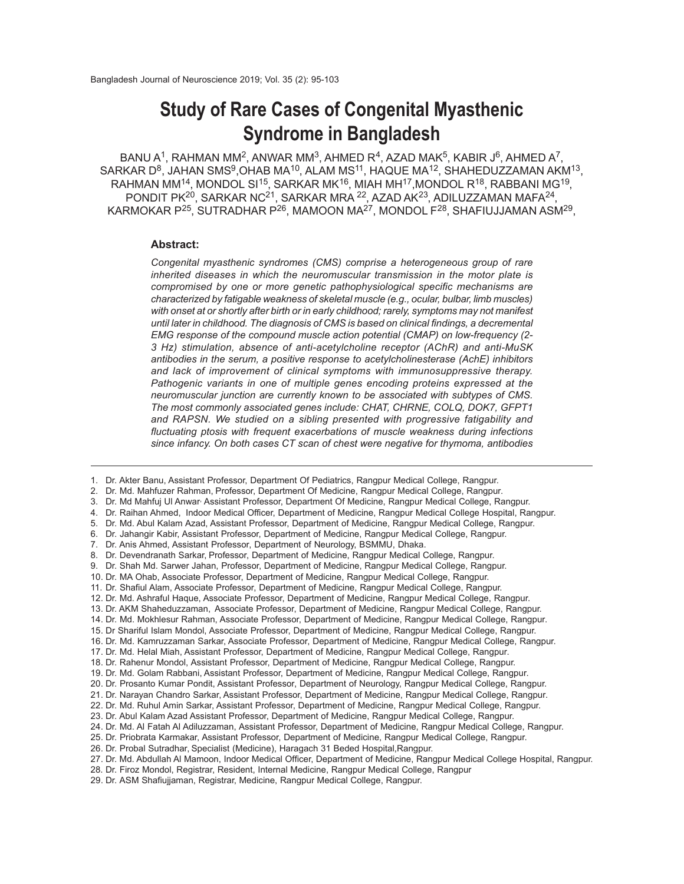# **Study of Rare Cases of Congenital Myasthenic Syndrome in Bangladesh**

 $BANU A<sup>1</sup>$ , RAHMAN MM<sup>2</sup>, ANWAR MM<sup>3</sup>, AHMED R<sup>4</sup>, AZAD MAK<sup>5</sup>, KABIR J<sup>6</sup>, AHMED A<sup>7</sup>,  $SARKAR D<sup>8</sup>, JAHAN SMS<sup>9</sup>,OHAB MA<sup>10</sup>, ALAM MS<sup>11</sup>, HAQUE MA<sup>12</sup>, SHAHEDUZZAMAN AKM<sup>13</sup>,$  $R$ AHMAN MM $^{14}$ , MONDOL SI $^{15}$ , SARKAR MK $^{16}$ , MIAH MH $^{17}$ ,MONDOL R $^{18}$ , RABBANI MG $^{19}$ , PONDIT PK<sup>20</sup>, SARKAR NC<sup>21</sup>, SARKAR MRA <sup>22</sup>, AZAD AK<sup>23</sup>, ADILUZZAMAN MAFA<sup>24</sup>, KARMOKAR P $^{25}$ , SUTRADHAR P $^{26}$ , MAMOON MA $^{27}$ , MONDOL F $^{28}$ , SHAFIUJJAMAN ASM $^{29}$ ,

#### **Abstract:**

*Congenital myasthenic syndromes (CMS) comprise a heterogeneous group of rare inherited diseases in which the neuromuscular transmission in the motor plate is compromised by one or more genetic pathophysiological specific mechanisms are characterized by fatigable weakness of skeletal muscle (e.g., ocular, bulbar, limb muscles) with onset at or shortly after birth or in early childhood; rarely, symptoms may not manifest until later in childhood. The diagnosis of CMS is based on clinical findings, a decremental EMG response of the compound muscle action potential (CMAP) on low-frequency (2- 3 Hz) stimulation, absence of anti-acetylcholine receptor (AChR) and anti-MuSK antibodies in the serum, a positive response to acetylcholinesterase (AchE) inhibitors and lack of improvement of clinical symptoms with immunosuppressive therapy. Pathogenic variants in one of multiple genes encoding proteins expressed at the neuromuscular junction are currently known to be associated with subtypes of CMS. The most commonly associated genes include: CHAT, CHRNE, COLQ, DOK7, GFPT1 and RAPSN. We studied on a sibling presented with progressive fatigability and fluctuating ptosis with frequent exacerbations of muscle weakness during infections since infancy. On both cases CT scan of chest were negative for thymoma, antibodies*

29. Dr. ASM Shafiujjaman, Registrar, Medicine, Rangpur Medical College, Rangpur.

<sup>1.</sup> Dr. Akter Banu, Assistant Professor, Department Of Pediatrics, Rangpur Medical College, Rangpur.

<sup>2.</sup> Dr. Md. Mahfuzer Rahman, Professor, Department Of Medicine, Rangpur Medical College, Rangpur.

<sup>3.</sup> Dr. Md Mahfuj Ul Anwar, Assistant Professor, Department Of Medicine, Rangpur Medical College, Rangpur.

<sup>4.</sup> Dr. Raihan Ahmed, Indoor Medical Officer, Department of Medicine, Rangpur Medical College Hospital, Rangpur.

<sup>5.</sup> Dr. Md. Abul Kalam Azad, Assistant Professor, Department of Medicine, Rangpur Medical College, Rangpur.

<sup>6.</sup> Dr. Jahangir Kabir, Assistant Professor, Department of Medicine, Rangpur Medical College, Rangpur.

<sup>7.</sup> Dr. Anis Ahmed, Assistant Professor, Department of Neurology, BSMMU, Dhaka.

<sup>8.</sup> Dr. Devendranath Sarkar, Professor, Department of Medicine, Rangpur Medical College, Rangpur.

<sup>9.</sup> Dr. Shah Md. Sarwer Jahan, Professor, Department of Medicine, Rangpur Medical College, Rangpur.

<sup>10.</sup> Dr. MA Ohab, Associate Professor, Department of Medicine, Rangpur Medical College, Rangpur.

<sup>11.</sup> Dr. Shafiul Alam, Associate Professor, Department of Medicine, Rangpur Medical College, Rangpur.

<sup>12.</sup> Dr. Md. Ashraful Haque, Associate Professor, Department of Medicine, Rangpur Medical College, Rangpur.

<sup>13.</sup> Dr. AKM Shaheduzzaman, Associate Professor, Department of Medicine, Rangpur Medical College, Rangpur.

<sup>14.</sup> Dr. Md. Mokhlesur Rahman, Associate Professor, Department of Medicine, Rangpur Medical College, Rangpur.

<sup>15.</sup> Dr Shariful Islam Mondol, Associate Professor, Department of Medicine, Rangpur Medical College, Rangpur.

<sup>16.</sup> Dr. Md. Kamruzzaman Sarkar, Associate Professor, Department of Medicine, Rangpur Medical College, Rangpur.

<sup>17.</sup> Dr. Md. Helal Miah, Assistant Professor, Department of Medicine, Rangpur Medical College, Rangpur.

<sup>18.</sup> Dr. Rahenur Mondol, Assistant Professor, Department of Medicine, Rangpur Medical College, Rangpur.

<sup>19.</sup> Dr. Md. Golam Rabbani, Assistant Professor, Department of Medicine, Rangpur Medical College, Rangpur.

<sup>20.</sup> Dr. Prosanto Kumar Pondit, Assistant Professor, Department of Neurology, Rangpur Medical College, Rangpur.

<sup>21.</sup> Dr. Narayan Chandro Sarkar, Assistant Professor, Department of Medicine, Rangpur Medical College, Rangpur. 22. Dr. Md. Ruhul Amin Sarkar, Assistant Professor, Department of Medicine, Rangpur Medical College, Rangpur.

<sup>23.</sup> Dr. Abul Kalam Azad Assistant Professor, Department of Medicine, Rangpur Medical College, Rangpur.

<sup>24.</sup> Dr. Md. Al Fatah Al Adiluzzaman, Assistant Professor, Department of Medicine, Rangpur Medical College, Rangpur.

<sup>25.</sup> Dr. Priobrata Karmakar, Assistant Professor, Department of Medicine, Rangpur Medical College, Rangpur.

<sup>26.</sup> Dr. Probal Sutradhar, Specialist (Medicine), Haragach 31 Beded Hospital,Rangpur.

<sup>27.</sup> Dr. Md. Abdullah Al Mamoon, Indoor Medical Officer, Department of Medicine, Rangpur Medical College Hospital, Rangpur.

<sup>28.</sup> Dr. Firoz Mondol, Registrar, Resident, Internal Medicine, Rangpur Medical College, Rangpur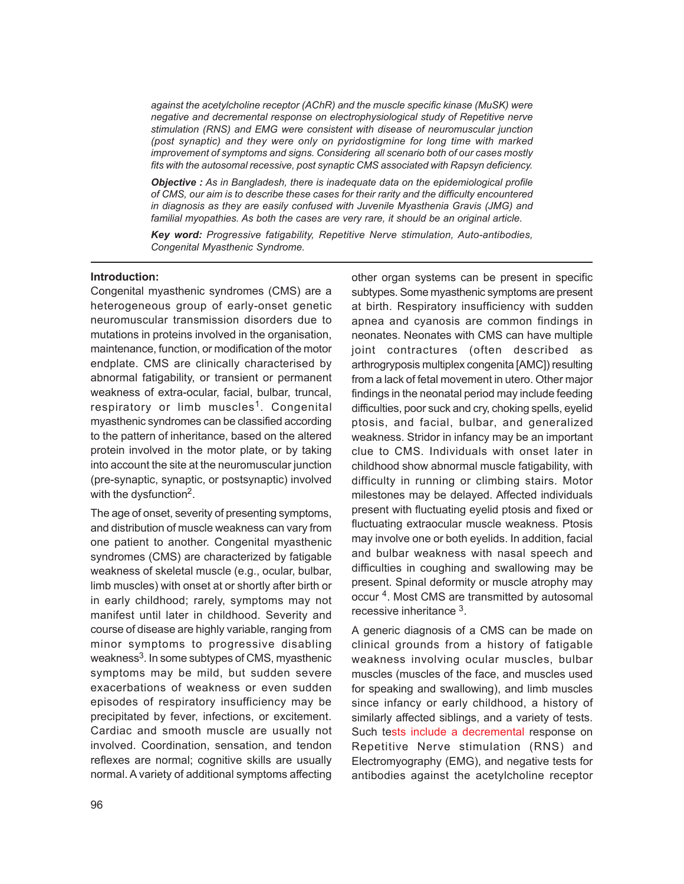*against the acetylcholine receptor (AChR) and the muscle specific kinase (MuSK) were negative and decremental response on electrophysiological study of Repetitive nerve stimulation (RNS) and EMG were consistent with disease of neuromuscular junction (post synaptic) and they were only on pyridostigmine for long time with marked improvement of symptoms and signs. Considering all scenario both of our cases mostly fits with the autosomal recessive, post synaptic CMS associated with Rapsyn deficiency.*

*Objective : As in Bangladesh, there is inadequate data on the epidemiological profile of CMS, our aim is to describe these cases for their rarity and the difficulty encountered in diagnosis as they are easily confused with Juvenile Myasthenia Gravis (JMG) and familial myopathies. As both the cases are very rare, it should be an original article.*

*Key word: Progressive fatigability, Repetitive Nerve stimulation, Auto-antibodies, Congenital Myasthenic Syndrome.*

### **Introduction:**

Congenital myasthenic syndromes (CMS) are a heterogeneous group of early-onset genetic neuromuscular transmission disorders due to mutations in proteins involved in the organisation, maintenance, function, or modification of the motor endplate. CMS are clinically characterised by abnormal fatigability, or transient or permanent weakness of extra-ocular, facial, bulbar, truncal, respiratory or limb muscles<sup>1</sup>. Congenital myasthenic syndromes can be classified according to the pattern of inheritance, based on the altered protein involved in the motor plate, or by taking into account the site at the neuromuscular junction (pre-synaptic, synaptic, or postsynaptic) involved with the dysfunction<sup>2</sup>.

The age of onset, severity of presenting symptoms, and distribution of muscle weakness can vary from one patient to another. Congenital myasthenic syndromes (CMS) are characterized by fatigable weakness of skeletal muscle (e.g., ocular, bulbar, limb muscles) with onset at or shortly after birth or in early childhood; rarely, symptoms may not manifest until later in childhood. Severity and course of disease are highly variable, ranging from minor symptoms to progressive disabling weakness<sup>3</sup>. In some subtypes of CMS, myasthenic symptoms may be mild, but sudden severe exacerbations of weakness or even sudden episodes of respiratory insufficiency may be precipitated by fever, infections, or excitement. Cardiac and smooth muscle are usually not involved. Coordination, sensation, and tendon reflexes are normal; cognitive skills are usually normal. A variety of additional symptoms affecting

other organ systems can be present in specific subtypes. Some myasthenic symptoms are present at birth. Respiratory insufficiency with sudden apnea and cyanosis are common findings in neonates. Neonates with CMS can have multiple joint contractures (often described as arthrogryposis multiplex congenita [AMC]) resulting from a lack of fetal movement in utero. Other major findings in the neonatal period may include feeding difficulties, poor suck and cry, choking spells, eyelid ptosis, and facial, bulbar, and generalized weakness. Stridor in infancy may be an important clue to CMS. Individuals with onset later in childhood show abnormal muscle fatigability, with difficulty in running or climbing stairs. Motor milestones may be delayed. Affected individuals present with fluctuating eyelid ptosis and fixed or fluctuating extraocular muscle weakness. Ptosis may involve one or both eyelids. In addition, facial and bulbar weakness with nasal speech and difficulties in coughing and swallowing may be present. Spinal deformity or muscle atrophy may occur<sup>4</sup>. Most CMS are transmitted by autosomal recessive inheritance <sup>3</sup>.

A generic diagnosis of a CMS can be made on clinical grounds from a history of fatigable weakness involving ocular muscles, bulbar muscles (muscles of the face, and muscles used for speaking and swallowing), and limb muscles since infancy or early childhood, a history of similarly affected siblings, and a variety of tests. Such tests include a decremental response on Repetitive Nerve stimulation (RNS) and Electromyography (EMG), and negative tests for antibodies against the acetylcholine receptor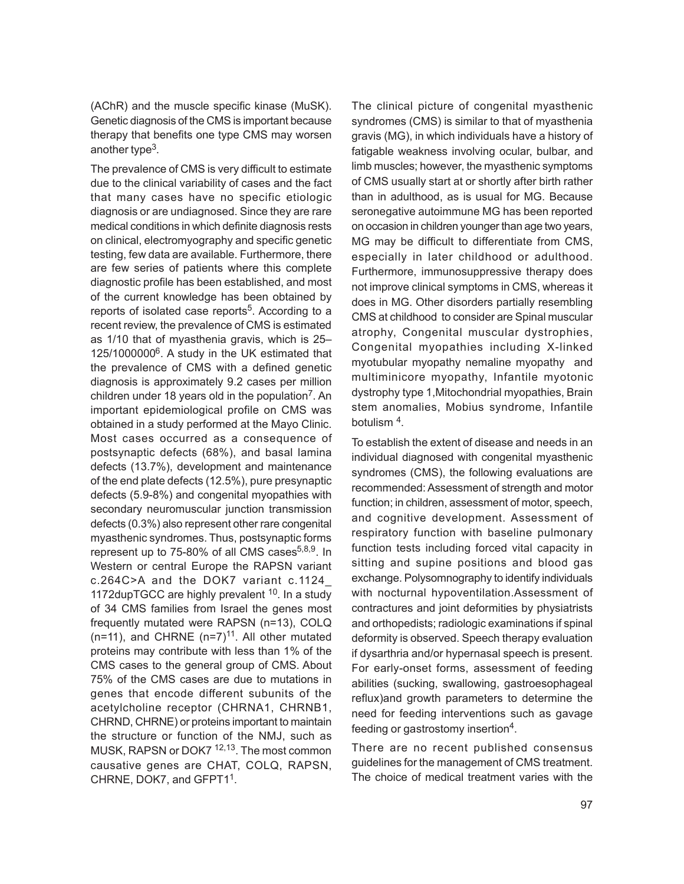(AChR) and the muscle specific kinase (MuSK). Genetic diagnosis of the CMS is important because therapy that benefits one type CMS may worsen another type<sup>3</sup>.

The prevalence of CMS is very difficult to estimate due to the clinical variability of cases and the fact that many cases have no specific etiologic diagnosis or are undiagnosed. Since they are rare medical conditions in which definite diagnosis rests on clinical, electromyography and specific genetic testing, few data are available. Furthermore, there are few series of patients where this complete diagnostic profile has been established, and most of the current knowledge has been obtained by reports of isolated case reports<sup>5</sup>. According to a recent review, the prevalence of CMS is estimated as 1/10 that of myasthenia gravis, which is 25– 125/1000000<sup>6</sup>. A study in the UK estimated that the prevalence of CMS with a defined genetic diagnosis is approximately 9.2 cases per million children under 18 years old in the population<sup>7</sup>. An important epidemiological profile on CMS was obtained in a study performed at the Mayo Clinic. Most cases occurred as a consequence of postsynaptic defects (68%), and basal lamina defects (13.7%), development and maintenance of the end plate defects (12.5%), pure presynaptic defects (5.9-8%) and congenital myopathies with secondary neuromuscular junction transmission defects (0.3%) also represent other rare congenital myasthenic syndromes. Thus, postsynaptic forms represent up to 75-80% of all CMS cases $5,8,9$ . In Western or central Europe the RAPSN variant c.264C>A and the DOK7 variant c.1124\_ 1172dupTGCC are highly prevalent  $10$ . In a study of 34 CMS families from Israel the genes most frequently mutated were RAPSN (n=13), COLQ  $(n=11)$ , and CHRNE  $(n=7)^{11}$ . All other mutated proteins may contribute with less than 1% of the CMS cases to the general group of CMS. About 75% of the CMS cases are due to mutations in genes that encode different subunits of the acetylcholine receptor (CHRNA1, CHRNB1, CHRND, CHRNE) or proteins important to maintain the structure or function of the NMJ, such as MUSK, RAPSN or DOK7 <sup>12,13</sup>. The most common causative genes are CHAT, COLQ, RAPSN, CHRNE, DOK7, and GFPT1<sup>1</sup>.

The clinical picture of congenital myasthenic syndromes (CMS) is similar to that of myasthenia gravis (MG), in which individuals have a history of fatigable weakness involving ocular, bulbar, and limb muscles; however, the myasthenic symptoms of CMS usually start at or shortly after birth rather than in adulthood, as is usual for MG. Because seronegative autoimmune MG has been reported on occasion in children younger than age two years, MG may be difficult to differentiate from CMS, especially in later childhood or adulthood. Furthermore, immunosuppressive therapy does not improve clinical symptoms in CMS, whereas it does in MG. Other disorders partially resembling CMS at childhood to consider are Spinal muscular atrophy, Congenital muscular dystrophies, Congenital myopathies including X-linked myotubular myopathy nemaline myopathy and multiminicore myopathy, Infantile myotonic dystrophy type 1,Mitochondrial myopathies, Brain stem anomalies, Mobius syndrome, Infantile botulism<sup>4</sup>.

To establish the extent of disease and needs in an individual diagnosed with congenital myasthenic syndromes (CMS), the following evaluations are recommended: Assessment of strength and motor function; in children, assessment of motor, speech, and cognitive development. Assessment of respiratory function with baseline pulmonary function tests including forced vital capacity in sitting and supine positions and blood gas exchange. Polysomnography to identify individuals with nocturnal hypoventilation.Assessment of contractures and joint deformities by physiatrists and orthopedists; radiologic examinations if spinal deformity is observed. Speech therapy evaluation if dysarthria and/or hypernasal speech is present. For early-onset forms, assessment of feeding abilities (sucking, swallowing, gastroesophageal reflux)and growth parameters to determine the need for feeding interventions such as gavage feeding or gastrostomy insertion<sup>4</sup>.

There are no recent published consensus guidelines for the management of CMS treatment. The choice of medical treatment varies with the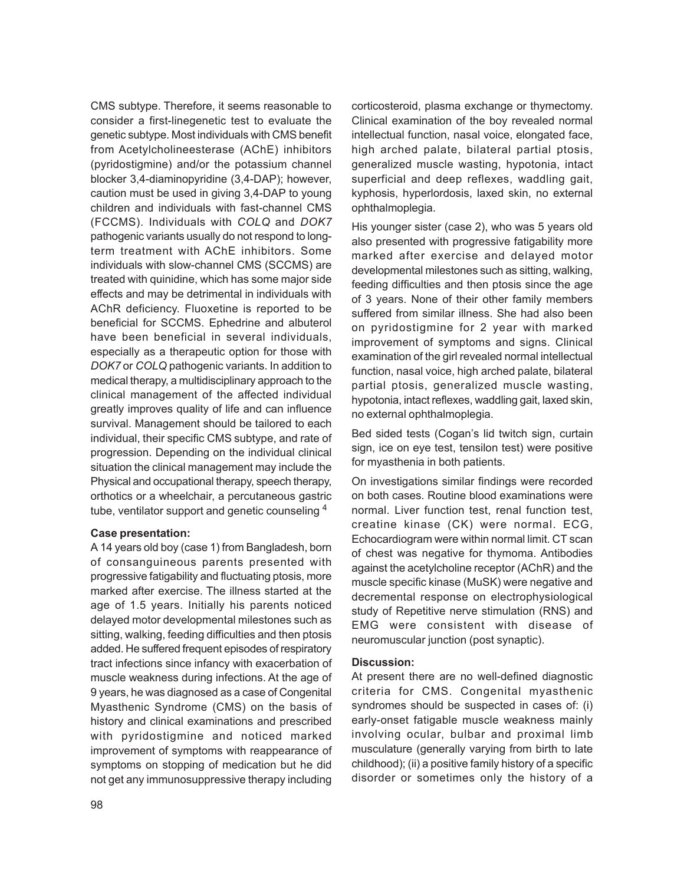CMS subtype. Therefore, it seems reasonable to consider a first-linegenetic test to evaluate the genetic subtype. Most individuals with CMS benefit from Acetylcholineesterase (AChE) inhibitors (pyridostigmine) and/or the potassium channel blocker 3,4-diaminopyridine (3,4-DAP); however, caution must be used in giving 3,4-DAP to young children and individuals with fast-channel CMS (FCCMS). Individuals with *COLQ* and *DOK7* pathogenic variants usually do not respond to longterm treatment with AChE inhibitors. Some individuals with slow-channel CMS (SCCMS) are treated with quinidine, which has some major side effects and may be detrimental in individuals with AChR deficiency. Fluoxetine is reported to be beneficial for SCCMS. Ephedrine and albuterol have been beneficial in several individuals, especially as a therapeutic option for those with *DOK7* or *COLQ* pathogenic variants. In addition to medical therapy, a multidisciplinary approach to the clinical management of the affected individual greatly improves quality of life and can influence survival. Management should be tailored to each individual, their specific CMS subtype, and rate of progression. Depending on the individual clinical situation the clinical management may include the Physical and occupational therapy, speech therapy, orthotics or a wheelchair, a percutaneous gastric tube, ventilator support and genetic counseling <sup>4</sup>

## **Case presentation:**

A 14 years old boy (case 1) from Bangladesh, born of consanguineous parents presented with progressive fatigability and fluctuating ptosis, more marked after exercise. The illness started at the age of 1.5 years. Initially his parents noticed delayed motor developmental milestones such as sitting, walking, feeding difficulties and then ptosis added. He suffered frequent episodes of respiratory tract infections since infancy with exacerbation of muscle weakness during infections. At the age of 9 years, he was diagnosed as a case of Congenital Myasthenic Syndrome (CMS) on the basis of history and clinical examinations and prescribed with pyridostigmine and noticed marked improvement of symptoms with reappearance of symptoms on stopping of medication but he did not get any immunosuppressive therapy including corticosteroid, plasma exchange or thymectomy. Clinical examination of the boy revealed normal intellectual function, nasal voice, elongated face, high arched palate, bilateral partial ptosis, generalized muscle wasting, hypotonia, intact superficial and deep reflexes, waddling gait, kyphosis, hyperlordosis, laxed skin, no external ophthalmoplegia.

His younger sister (case 2), who was 5 years old also presented with progressive fatigability more marked after exercise and delayed motor developmental milestones such as sitting, walking, feeding difficulties and then ptosis since the age of 3 years. None of their other family members suffered from similar illness. She had also been on pyridostigmine for 2 year with marked improvement of symptoms and signs. Clinical examination of the girl revealed normal intellectual function, nasal voice, high arched palate, bilateral partial ptosis, generalized muscle wasting, hypotonia, intact reflexes, waddling gait, laxed skin, no external ophthalmoplegia.

Bed sided tests (Cogan's lid twitch sign, curtain sign, ice on eye test, tensilon test) were positive for myasthenia in both patients.

On investigations similar findings were recorded on both cases. Routine blood examinations were normal. Liver function test, renal function test, creatine kinase (CK) were normal. ECG, Echocardiogram were within normal limit. CT scan of chest was negative for thymoma. Antibodies against the acetylcholine receptor (AChR) and the muscle specific kinase (MuSK) were negative and decremental response on electrophysiological study of Repetitive nerve stimulation (RNS) and EMG were consistent with disease of neuromuscular junction (post synaptic).

## **Discussion:**

At present there are no well-defined diagnostic criteria for CMS. Congenital myasthenic syndromes should be suspected in cases of: (i) early-onset fatigable muscle weakness mainly involving ocular, bulbar and proximal limb musculature (generally varying from birth to late childhood); (ii) a positive family history of a specific disorder or sometimes only the history of a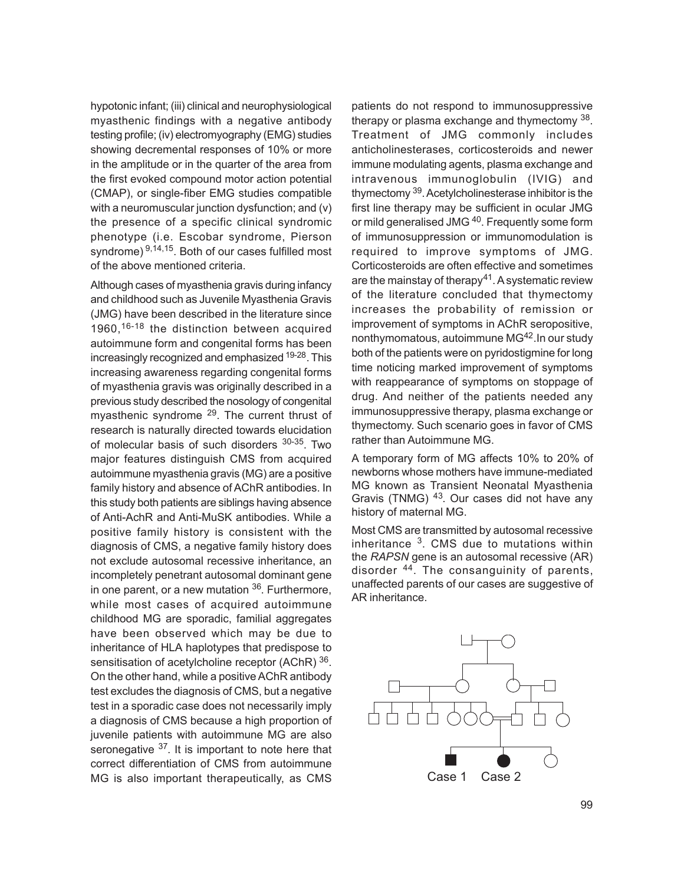hypotonic infant; (iii) clinical and neurophysiological myasthenic findings with a negative antibody testing profile; (iv) electromyography (EMG) studies showing decremental responses of 10% or more in the amplitude or in the quarter of the area from the first evoked compound motor action potential (CMAP), or single-fiber EMG studies compatible with a neuromuscular junction dysfunction; and (v) the presence of a specific clinical syndromic phenotype (i.e. Escobar syndrome, Pierson syndrome)  $9,14,15$ . Both of our cases fulfilled most of the above mentioned criteria.

Although cases of myasthenia gravis during infancy and childhood such as Juvenile Myasthenia Gravis (JMG) have been described in the literature since 1960,<sup>16-18</sup> the distinction between acquired autoimmune form and congenital forms has been increasingly recognized and emphasized <sup>19-28</sup>. This increasing awareness regarding congenital forms of myasthenia gravis was originally described in a previous study described the nosology of congenital myasthenic syndrome <sup>29</sup>. The current thrust of research is naturally directed towards elucidation of molecular basis of such disorders <sup>30-35</sup>. Two major features distinguish CMS from acquired autoimmune myasthenia gravis (MG) are a positive family history and absence of AChR antibodies. In this study both patients are siblings having absence of Anti-AchR and Anti-MuSK antibodies. While a positive family history is consistent with the diagnosis of CMS, a negative family history does not exclude autosomal recessive inheritance, an incompletely penetrant autosomal dominant gene in one parent, or a new mutation  $36$ . Furthermore, while most cases of acquired autoimmune childhood MG are sporadic, familial aggregates have been observed which may be due to inheritance of HLA haplotypes that predispose to sensitisation of acetylcholine receptor (AChR) 36. On the other hand, while a positive AChR antibody test excludes the diagnosis of CMS, but a negative test in a sporadic case does not necessarily imply a diagnosis of CMS because a high proportion of juvenile patients with autoimmune MG are also seronegative <sup>37</sup>. It is important to note here that correct differentiation of CMS from autoimmune MG is also important therapeutically, as CMS

patients do not respond to immunosuppressive therapy or plasma exchange and thymectomy <sup>38</sup>. Treatment of JMG commonly includes anticholinesterases, corticosteroids and newer immune modulating agents, plasma exchange and intravenous immunoglobulin (IVIG) and thymectomy <sup>39</sup> . Acetylcholinesterase inhibitor is the first line therapy may be sufficient in ocular JMG or mild generalised JMG<sup>40</sup>. Frequently some form of immunosuppression or immunomodulation is required to improve symptoms of JMG. Corticosteroids are often effective and sometimes are the mainstay of therapy<sup>41</sup>. A systematic review of the literature concluded that thymectomy increases the probability of remission or improvement of symptoms in AChR seropositive, nonthymomatous, autoimmune MG42.In our study both of the patients were on pyridostigmine for long time noticing marked improvement of symptoms with reappearance of symptoms on stoppage of drug. And neither of the patients needed any immunosuppressive therapy, plasma exchange or thymectomy. Such scenario goes in favor of CMS rather than Autoimmune MG.

A temporary form of MG affects 10% to 20% of newborns whose mothers have immune-mediated MG known as Transient Neonatal Myasthenia Gravis (TNMG) 43. Our cases did not have any history of maternal MG.

Most CMS are transmitted by autosomal recessive inheritance <sup>3</sup>. CMS due to mutations within the *RAPSN* gene is an autosomal recessive (AR) disorder <sup>44</sup> . The consanguinity of parents, unaffected parents of our cases are suggestive of AR inheritance.

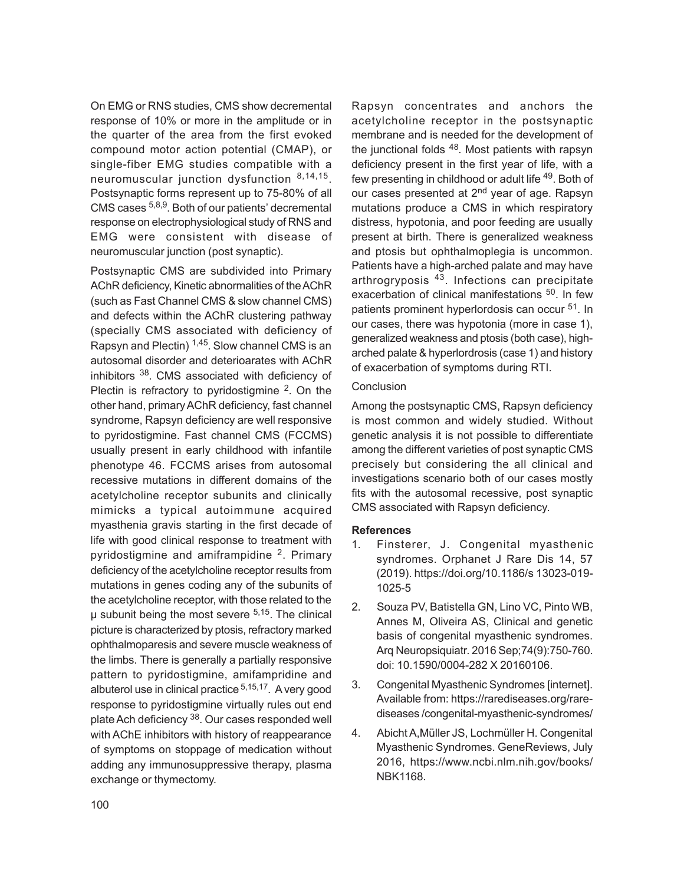On EMG or RNS studies, CMS show decremental response of 10% or more in the amplitude or in the quarter of the area from the first evoked compound motor action potential (CMAP), or single-fiber EMG studies compatible with a neuromuscular junction dysfunction 8,14,15. Postsynaptic forms represent up to 75-80% of all CMS cases 5,8,9. Both of our patients' decremental response on electrophysiological study of RNS and EMG were consistent with disease of neuromuscular junction (post synaptic).

Postsynaptic CMS are subdivided into Primary AChR deficiency, Kinetic abnormalities of the AChR (such as Fast Channel CMS & slow channel CMS) and defects within the AChR clustering pathway (specially CMS associated with deficiency of Rapsyn and Plectin)  $1,45$ . Slow channel CMS is an autosomal disorder and deterioarates with AChR inhibitors 38. CMS associated with deficiency of Plectin is refractory to pyridostigmine  $2$ . On the other hand, primary AChR deficiency, fast channel syndrome, Rapsyn deficiency are well responsive to pyridostigmine. Fast channel CMS (FCCMS) usually present in early childhood with infantile phenotype 46. FCCMS arises from autosomal recessive mutations in different domains of the acetylcholine receptor subunits and clinically mimicks a typical autoimmune acquired myasthenia gravis starting in the first decade of life with good clinical response to treatment with pyridostigmine and amiframpidine <sup>2</sup>. Primary deficiency of the acetylcholine receptor results from mutations in genes coding any of the subunits of the acetylcholine receptor, with those related to the µ subunit being the most severe 5,15 . The clinical picture is characterized by ptosis, refractory marked ophthalmoparesis and severe muscle weakness of the limbs. There is generally a partially responsive pattern to pyridostigmine, amifampridine and albuterol use in clinical practice <sup>5,15,17</sup>. A very good response to pyridostigmine virtually rules out end plate Ach deficiency <sup>38</sup>. Our cases responded well with AChE inhibitors with history of reappearance of symptoms on stoppage of medication without adding any immunosuppressive therapy, plasma exchange or thymectomy.

Rapsyn concentrates and anchors the acetylcholine receptor in the postsynaptic membrane and is needed for the development of the junctional folds <sup>48</sup>. Most patients with rapsyn deficiency present in the first year of life, with a few presenting in childhood or adult life 49. Both of our cases presented at 2<sup>nd</sup> year of age. Rapsyn mutations produce a CMS in which respiratory distress, hypotonia, and poor feeding are usually present at birth. There is generalized weakness and ptosis but ophthalmoplegia is uncommon. Patients have a high-arched palate and may have arthrogryposis 43. Infections can precipitate exacerbation of clinical manifestations <sup>50</sup>. In few patients prominent hyperlordosis can occur 51. In our cases, there was hypotonia (more in case 1), generalized weakness and ptosis (both case), higharched palate & hyperlordrosis (case 1) and history of exacerbation of symptoms during RTI.

## **Conclusion**

Among the postsynaptic CMS, Rapsyn deficiency is most common and widely studied. Without genetic analysis it is not possible to differentiate among the different varieties of post synaptic CMS precisely but considering the all clinical and investigations scenario both of our cases mostly fits with the autosomal recessive, post synaptic CMS associated with Rapsyn deficiency.

### **References**

- 1. Finsterer, J. Congenital myasthenic syndromes. Orphanet J Rare Dis 14, 57 (2019). https://doi.org/10.1186/s 13023-019- 1025-5
- 2. Souza PV, Batistella GN, Lino VC, Pinto WB, Annes M, Oliveira AS, Clinical and genetic basis of congenital myasthenic syndromes. Arq Neuropsiquiatr. 2016 Sep;74(9):750-760. doi: 10.1590/0004-282 X 20160106.
- 3. Congenital Myasthenic Syndromes [internet]. Available from: https://rarediseases.org/rarediseases /congenital-myasthenic-syndromes/
- 4. Abicht A,Müller JS, Lochmüller H. Congenital Myasthenic Syndromes. GeneReviews, July 2016, https://www.ncbi.nlm.nih.gov/books/ NBK1168.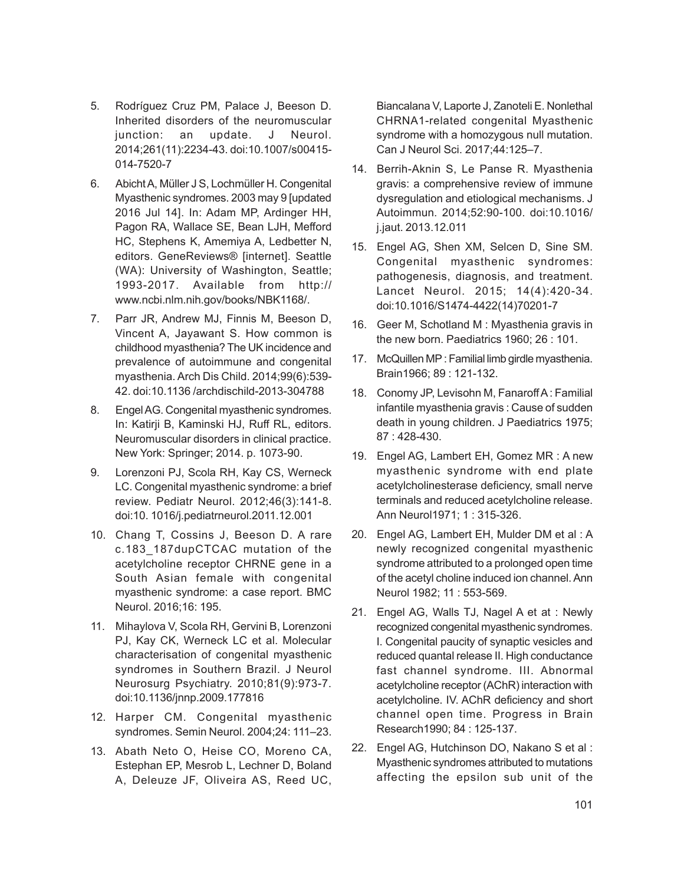- 5. Rodríguez Cruz PM, Palace J, Beeson D. Inherited disorders of the neuromuscular junction: an update. J Neurol. 2014;261(11):2234-43. doi:10.1007/s00415- 014-7520-7
- 6. Abicht A, Müller J S, Lochmüller H. Congenital Myasthenic syndromes. 2003 may 9 [updated 2016 Jul 14]. In: Adam MP, Ardinger HH, Pagon RA, Wallace SE, Bean LJH, Mefford HC, Stephens K, Amemiya A, Ledbetter N, editors. GeneReviews® [internet]. Seattle (WA): University of Washington, Seattle; 1993-2017. Available from http:// www.ncbi.nlm.nih.gov/books/NBK1168/.
- 7. Parr JR, Andrew MJ, Finnis M, Beeson D, Vincent A, Jayawant S. How common is childhood myasthenia? The UK incidence and prevalence of autoimmune and congenital myasthenia. Arch Dis Child. 2014;99(6):539- 42. doi:10.1136 /archdischild-2013-304788
- 8. Engel AG. Congenital myasthenic syndromes. In: Katirji B, Kaminski HJ, Ruff RL, editors. Neuromuscular disorders in clinical practice. New York: Springer; 2014. p. 1073-90.
- 9. Lorenzoni PJ, Scola RH, Kay CS, Werneck LC. Congenital myasthenic syndrome: a brief review. Pediatr Neurol. 2012;46(3):141-8. doi:10. 1016/j.pediatrneurol.2011.12.001
- 10. Chang T, Cossins J, Beeson D. A rare c.183\_187dupCTCAC mutation of the acetylcholine receptor CHRNE gene in a South Asian female with congenital myasthenic syndrome: a case report. BMC Neurol. 2016;16: 195.
- 11. Mihaylova V, Scola RH, Gervini B, Lorenzoni PJ, Kay CK, Werneck LC et al. Molecular characterisation of congenital myasthenic syndromes in Southern Brazil. J Neurol Neurosurg Psychiatry. 2010;81(9):973-7. doi:10.1136/jnnp.2009.177816
- 12. Harper CM. Congenital myasthenic syndromes. Semin Neurol. 2004;24: 111–23.
- 13. Abath Neto O, Heise CO, Moreno CA, Estephan EP, Mesrob L, Lechner D, Boland A, Deleuze JF, Oliveira AS, Reed UC,

Biancalana V, Laporte J, Zanoteli E. Nonlethal CHRNA1-related congenital Myasthenic syndrome with a homozygous null mutation. Can J Neurol Sci. 2017;44:125–7.

- 14. Berrih-Aknin S, Le Panse R. Myasthenia gravis: a comprehensive review of immune dysregulation and etiological mechanisms. J Autoimmun. 2014;52:90-100. doi:10.1016/ j.jaut. 2013.12.011
- 15. Engel AG, Shen XM, Selcen D, Sine SM. Congenital myasthenic syndromes: pathogenesis, diagnosis, and treatment. Lancet Neurol. 2015; 14(4):420-34. doi:10.1016/S1474-4422(14)70201-7
- 16. Geer M, Schotland M : Myasthenia gravis in the new born. Paediatrics 1960; 26 : 101.
- 17. McQuillen MP : Familial limb girdle myasthenia. Brain1966; 89 : 121-132.
- 18. Conomy JP, Levisohn M, Fanaroff A : Familial infantile myasthenia gravis : Cause of sudden death in young children. J Paediatrics 1975; 87 : 428-430.
- 19. Engel AG, Lambert EH, Gomez MR : A new myasthenic syndrome with end plate acetylcholinesterase deficiency, small nerve terminals and reduced acetylcholine release. Ann Neurol1971; 1 : 315-326.
- 20. Engel AG, Lambert EH, Mulder DM et al : A newly recognized congenital myasthenic syndrome attributed to a prolonged open time of the acetyl choline induced ion channel. Ann Neurol 1982; 11 : 553-569.
- 21. Engel AG, Walls TJ, Nagel A et at : Newly recognized congenital myasthenic syndromes. I. Congenital paucity of synaptic vesicles and reduced quantal release II. High conductance fast channel syndrome. III. Abnormal acetylcholine receptor (AChR) interaction with acetylcholine. IV. AChR deficiency and short channel open time. Progress in Brain Research1990; 84 : 125-137.
- 22. Engel AG, Hutchinson DO, Nakano S et al : Myasthenic syndromes attributed to mutations affecting the epsilon sub unit of the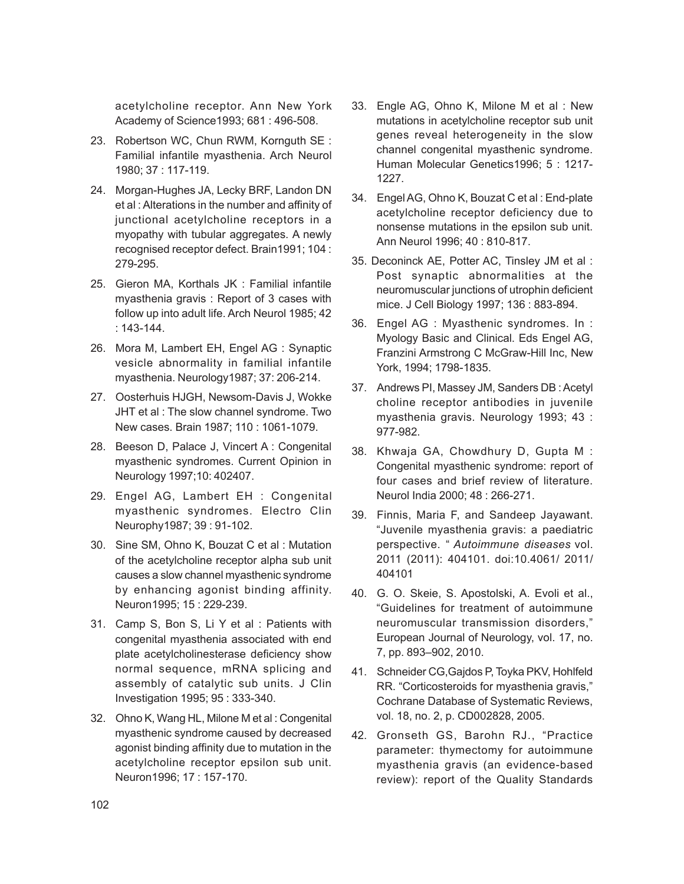acetylcholine receptor. Ann New York Academy of Science1993; 681 : 496-508.

- 23. Robertson WC, Chun RWM, Kornguth SE : Familial infantile myasthenia. Arch Neurol 1980; 37 : 117-119.
- 24. Morgan-Hughes JA, Lecky BRF, Landon DN et al : Alterations in the number and affinity of junctional acetylcholine receptors in a myopathy with tubular aggregates. A newly recognised receptor defect. Brain1991; 104 : 279-295.
- 25. Gieron MA, Korthals JK : Familial infantile myasthenia gravis : Report of 3 cases with follow up into adult life. Arch Neurol 1985; 42 : 143-144.
- 26. Mora M, Lambert EH, Engel AG : Synaptic vesicle abnormality in familial infantile myasthenia. Neurology1987; 37: 206-214.
- 27. Oosterhuis HJGH, Newsom-Davis J, Wokke JHT et al : The slow channel syndrome. Two New cases. Brain 1987; 110 : 1061-1079.
- 28. Beeson D, Palace J, Vincert A : Congenital myasthenic syndromes. Current Opinion in Neurology 1997;10: 402407.
- 29. Engel AG, Lambert EH : Congenital myasthenic syndromes. Electro Clin Neurophy1987; 39 : 91-102.
- 30. Sine SM, Ohno K, Bouzat C et al : Mutation of the acetylcholine receptor alpha sub unit causes a slow channel myasthenic syndrome by enhancing agonist binding affinity. Neuron1995; 15 : 229-239.
- 31. Camp S, Bon S, Li Y et al : Patients with congenital myasthenia associated with end plate acetylcholinesterase deficiency show normal sequence, mRNA splicing and assembly of catalytic sub units. J Clin Investigation 1995; 95 : 333-340.
- 32. Ohno K, Wang HL, Milone M et al : Congenital myasthenic syndrome caused by decreased agonist binding affinity due to mutation in the acetylcholine receptor epsilon sub unit. Neuron1996; 17 : 157-170.
- 33. Engle AG, Ohno K, Milone M et al : New mutations in acetylcholine receptor sub unit genes reveal heterogeneity in the slow channel congenital myasthenic syndrome. Human Molecular Genetics1996; 5 : 1217- 1227.
- 34. Engel AG, Ohno K, Bouzat C et al : End-plate acetylcholine receptor deficiency due to nonsense mutations in the epsilon sub unit. Ann Neurol 1996; 40 : 810-817.
- 35. Deconinck AE, Potter AC, Tinsley JM et al : Post synaptic abnormalities at the neuromuscular junctions of utrophin deficient mice. J Cell Biology 1997; 136 : 883-894.
- 36. Engel AG : Myasthenic syndromes. In : Myology Basic and Clinical. Eds Engel AG, Franzini Armstrong C McGraw-Hill Inc, New York, 1994; 1798-1835.
- 37. Andrews PI, Massey JM, Sanders DB : Acetyl choline receptor antibodies in juvenile myasthenia gravis. Neurology 1993; 43 : 977-982.
- 38. Khwaja GA, Chowdhury D, Gupta M : Congenital myasthenic syndrome: report of four cases and brief review of literature. Neurol India 2000; 48 : 266-271.
- 39. Finnis, Maria F, and Sandeep Jayawant. "Juvenile myasthenia gravis: a paediatric perspective. " *Autoimmune diseases* vol. 2011 (2011): 404101. doi:10.4061/ 2011/ 404101
- 40. G. O. Skeie, S. Apostolski, A. Evoli et al., "Guidelines for treatment of autoimmune neuromuscular transmission disorders," European Journal of Neurology, vol. 17, no. 7, pp. 893–902, 2010.
- 41. Schneider CG,Gajdos P, Toyka PKV, Hohlfeld RR. "Corticosteroids for myasthenia gravis," Cochrane Database of Systematic Reviews, vol. 18, no. 2, p. CD002828, 2005.
- 42. Gronseth GS, Barohn RJ., "Practice parameter: thymectomy for autoimmune myasthenia gravis (an evidence-based review): report of the Quality Standards